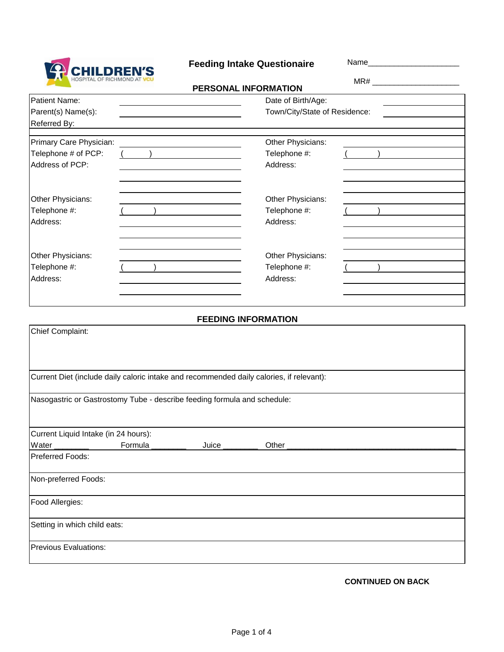

Feeding Intake Questionaire Mame\_\_\_\_

| HOSPITAL OF RICHMOND AT VCU                                                              |         | PERSONAL INFORMATION       |                                   |  |  |
|------------------------------------------------------------------------------------------|---------|----------------------------|-----------------------------------|--|--|
| Patient Name:                                                                            |         |                            | Date of Birth/Age:                |  |  |
| Parent(s) Name(s):                                                                       |         |                            | Town/City/State of Residence:     |  |  |
| Referred By:                                                                             |         |                            |                                   |  |  |
| Primary Care Physician:                                                                  |         |                            | Other Physicians:                 |  |  |
| Telephone # of PCP:                                                                      |         |                            | Telephone #:                      |  |  |
| Address of PCP:                                                                          |         |                            | Address:                          |  |  |
|                                                                                          |         |                            |                                   |  |  |
|                                                                                          |         |                            |                                   |  |  |
| Other Physicians:<br>Telephone #:                                                        |         |                            | Other Physicians:<br>Telephone #: |  |  |
| Address:                                                                                 |         |                            | Address:                          |  |  |
|                                                                                          |         |                            |                                   |  |  |
|                                                                                          |         |                            |                                   |  |  |
| Other Physicians:                                                                        |         |                            | Other Physicians:                 |  |  |
| Telephone #:                                                                             |         |                            | Telephone #:                      |  |  |
| Address:                                                                                 |         |                            | Address:                          |  |  |
|                                                                                          |         |                            |                                   |  |  |
|                                                                                          |         |                            |                                   |  |  |
|                                                                                          |         | <b>FEEDING INFORMATION</b> |                                   |  |  |
| Chief Complaint:                                                                         |         |                            |                                   |  |  |
|                                                                                          |         |                            |                                   |  |  |
|                                                                                          |         |                            |                                   |  |  |
|                                                                                          |         |                            |                                   |  |  |
| Current Diet (include daily caloric intake and recommended daily calories, if relevant): |         |                            |                                   |  |  |
|                                                                                          |         |                            |                                   |  |  |
| Nasogastric or Gastrostomy Tube - describe feeding formula and schedule:                 |         |                            |                                   |  |  |
|                                                                                          |         |                            |                                   |  |  |
| Current Liquid Intake (in 24 hours):                                                     |         |                            |                                   |  |  |
| Water                                                                                    | Formula | Juice                      | Other                             |  |  |
| Preferred Foods:                                                                         |         |                            |                                   |  |  |
|                                                                                          |         |                            |                                   |  |  |
| Non-preferred Foods:                                                                     |         |                            |                                   |  |  |
| Food Allergies:                                                                          |         |                            |                                   |  |  |
|                                                                                          |         |                            |                                   |  |  |
| Setting in which child eats:                                                             |         |                            |                                   |  |  |
|                                                                                          |         |                            |                                   |  |  |
| <b>Previous Evaluations:</b>                                                             |         |                            |                                   |  |  |
|                                                                                          |         |                            |                                   |  |  |

**CONTINUED ON BACK**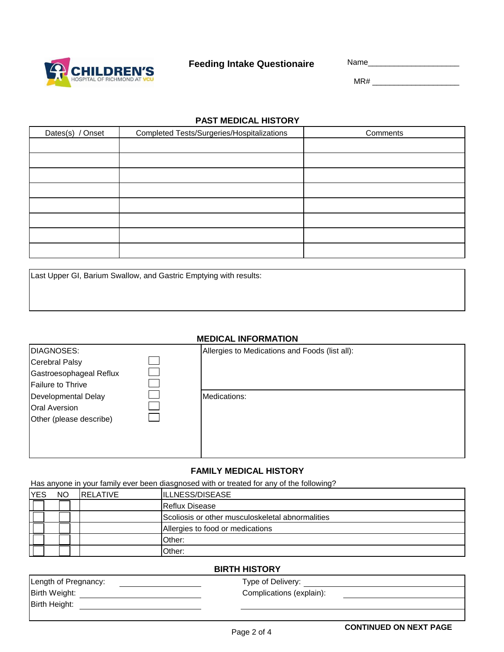

## **Feeding Intake Questionaire** Name\_\_\_\_\_\_\_\_\_\_\_\_\_\_\_\_\_\_\_\_\_

MR# \_\_\_\_\_\_\_\_\_\_\_\_\_\_\_\_\_\_\_\_

#### **PAST MEDICAL HISTORY**

| Dates(s) / Onset | <b>Completed Tests/Surgeries/Hospitalizations</b> | Comments |
|------------------|---------------------------------------------------|----------|
|                  |                                                   |          |
|                  |                                                   |          |
|                  |                                                   |          |
|                  |                                                   |          |
|                  |                                                   |          |
|                  |                                                   |          |
|                  |                                                   |          |
|                  |                                                   |          |

Last Upper GI, Barium Swallow, and Gastric Emptying with results:

#### **MEDICAL INFORMATION**

| DIAGNOSES:              | Allergies to Medications and Foods (list all): |
|-------------------------|------------------------------------------------|
| Cerebral Palsy          |                                                |
| Gastroesophageal Reflux |                                                |
| Failure to Thrive       |                                                |
| Developmental Delay     | Medications:                                   |
| <b>Oral Aversion</b>    |                                                |
| Other (please describe) |                                                |
|                         |                                                |
|                         |                                                |
|                         |                                                |

#### **FAMILY MEDICAL HISTORY**

Has anyone in your family ever been diasgnosed with or treated for any of the following?

| <b>YES</b> | <b>NO</b> | <b>IRELATIVE</b> | ILLNESS/DISEASE                                  |  |
|------------|-----------|------------------|--------------------------------------------------|--|
|            |           |                  | <b>IReflux Disease</b>                           |  |
|            |           |                  | Scoliosis or other musculoskeletal abnormalities |  |
|            |           |                  | Allergies to food or medications                 |  |
|            |           |                  | Other:                                           |  |
|            |           |                  | Other:                                           |  |

#### **BIRTH HISTORY**

|                      | _ _ . _                  |
|----------------------|--------------------------|
| Length of Pregnancy: | Type of Delivery:        |
| Birth Weight:        | Complications (explain): |
| Birth Height:        |                          |
|                      |                          |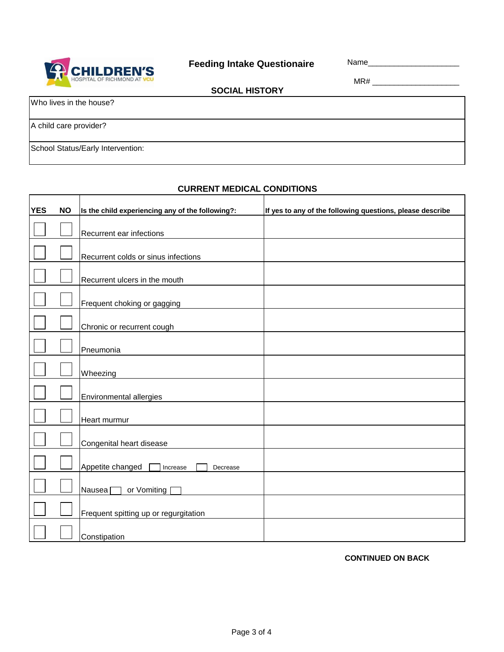

**SOCIAL HISTORY**

MR# \_\_\_\_\_\_\_\_\_\_\_\_\_\_\_\_\_\_\_\_

Who lives in the house?

A child care provider?

ľ

School Status/Early Intervention:

### **CURRENT MEDICAL CONDITIONS**

| <b>YES</b> | <b>NO</b> | Is the child experiencing any of the following?: | If yes to any of the following questions, please describe |
|------------|-----------|--------------------------------------------------|-----------------------------------------------------------|
|            |           | Recurrent ear infections                         |                                                           |
|            |           | Recurrent colds or sinus infections              |                                                           |
|            |           | Recurrent ulcers in the mouth                    |                                                           |
|            |           | Frequent choking or gagging                      |                                                           |
|            |           | Chronic or recurrent cough                       |                                                           |
|            |           | Pneumonia                                        |                                                           |
|            |           | Wheezing                                         |                                                           |
|            |           | Environmental allergies                          |                                                           |
|            |           | Heart murmur                                     |                                                           |
|            |           | Congenital heart disease                         |                                                           |
|            |           | Appetite changed<br>Increase<br>Decrease         |                                                           |
|            |           | or Vomiting<br>Nausea <sup>[</sup>               |                                                           |
|            |           | Frequent spitting up or regurgitation            |                                                           |
|            |           | Constipation                                     |                                                           |

**CONTINUED ON BACK**